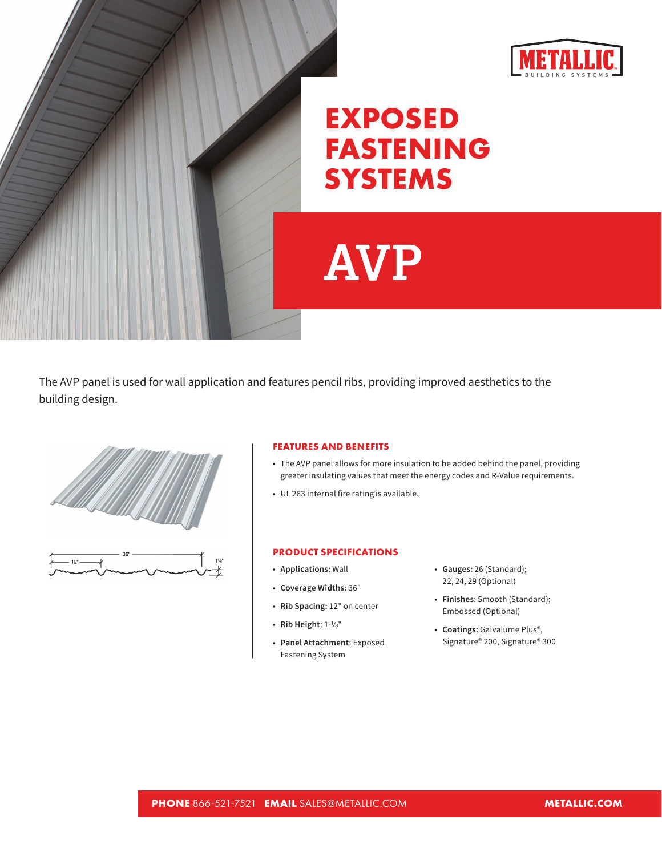



## **EXPOSED FASTENING SYSTEMS**

## **AVP**

The AVP panel is used for wall application and features pencil ribs, providing improved aesthetics to the building design.



## **FEATURES AND BENEFITS**

- The AVP panel allows for more insulation to be added behind the panel, providing greater insulating values that meet the energy codes and R-Value requirements.
- UL 263 internal fire rating is available.

## **PRODUCT SPECIFICATIONS**

- **Applications:** Wall
- **Coverage Widths:** 36"
- **Rib Spacing:** 12" on center
- **Rib Height**: 1-1/8"
- **Panel Attachment**: Exposed Fastening System
- **Gauges:** 26 (Standard); 22, 24, 29 (Optional)
- **Finishes**: Smooth (Standard); Embossed (Optional)
- **Coatings:** Galvalume Plus®, Signature® 200, Signature® 300